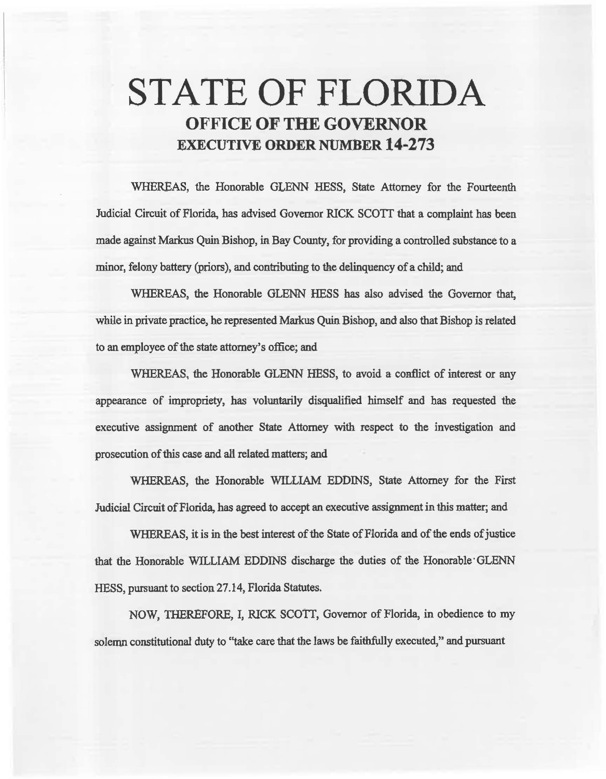# STATE OF FLORIDA OFFICE OF THE GOVERNOR EXECUTIVE ORDER NUMBER 14·273

WHEREAS, the Honorable GLENN HESS, State Attorney for the Fourteenth Judicial Circuit of Florida, has advised Governor RICK *SCOTT* that a complaint has been made against Markus Quin Bishop, in Bay County, for providing a controlled substance to a minor, felony battery (priors), and contributing to the delinquency of a child; and

WHEREAS, the Honorable GLENN HESS has also advised the Governor that, while in private practice, he represented Markus Quin Bishop, and also that Bishop is related to an employee of the state attorney's office; and

WHEREAS, the Honorable GLENN HESS, to avoid a conflict of interest or any appearance of impropriety, has voluntarily disqualified himself and has requested the executive assignment of another State Attorney with respect to the investigation and prosecution of this case and ali related matters; and

WHEREAS, the Honorable WILLIAM EDDINS, State Attorney for the First Judicial Circuit of Florida, has agreed to accept an executive assignment in this matter; and

WHEREAS, it is in the best interest of the State of Florida and of the ends of justice 1hat the Honorable WILLIAM EDDINS discharge the duties of the Honorable· GLENN HESS, pursuant to section 27.14, Florida Statutes.

NOW, THEREFORE, I, RICK SCOTI, Governor of Florida, in obedience to my solemn constitutional duty to "take care that the laws be faithfully executed," and pursuant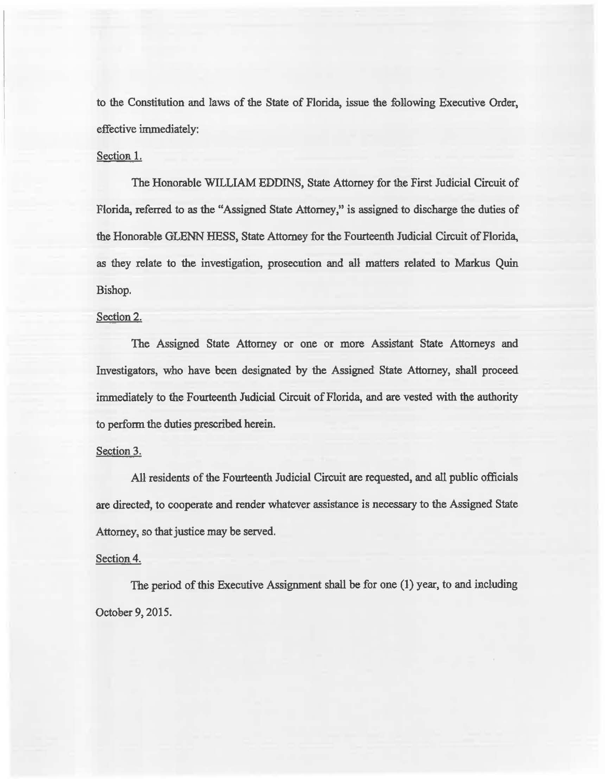to the Constitution and laws of the State of Florida, issue the following Executive Order, effective immediately:

### Section 1.

The Honorable WILLIAM EDDINS, State Attorney for the First Judicial Circuit of Florida, referred to as the "Assigned State Attorney," is assigned to discharge the duties of the Honorable GLENN HESS, State Attorney for the Fourteenth Judicial Circuit of Florida, as they relate to the investigation, prosecution and all matters related to Markus Quin Bishop.

### Section 2.

The Assigned State Attorney or one or more Assistant State Attorneys and Investigators, who have been designated by the Assigned State Attorney, shall proceed immediately to the Fomteenth Jadicial Circuit of Florida, and are vested with the authority to perform. the duties prescribed herein.

## Section 3.

All residents of the Fourteenth Judicial Circuit are requested, and all public officials are directed, to cooperate and render whatever assistance is necessary to the Assigned State Attorney, so that justice may be served.

### Section 4.

The period of this Executive Assignment shall be for one (1) year, to and including October 9, 2015.